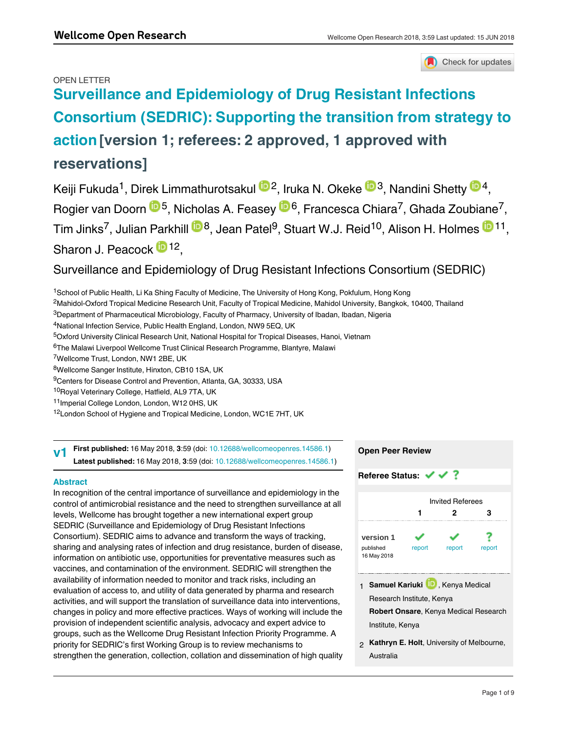## OPEN LETTER



# **[Surveillance and Epidemiology of Drug Resistant Infections](https://wellcomeopenresearch.org/articles/3-59/v1) [Consortium \(SEDRIC\): Supporting the transition from strategy to](https://wellcomeopenresearch.org/articles/3-59/v1) [action](https://wellcomeopenresearch.org/articles/3-59/v1) [version 1; referees: 2 approved, 1 approved with reservations]**

Keiji Fukuda<sup>1</sup>, Direk Limmathurotsakul <sup>to 2</sup>, Iruka N. Okeke <sup>to 3</sup>, Nandini Shetty <sup>to 4</sup>, Rogier van Doorn <sup>105</sup>, Nicholas A. Feasey <sup>106</sup>, Francesca Chiara<sup>7</sup>, Ghada Zoubiane<sup>7</sup>, Tim Jinks<sup>7</sup>, Julian Parkhill  ${}^{\text{\textregistered}}$ 8, Jean Patel<sup>9</sup>, Stuart W.J. Reid ${}^{10}$ , Alison H. Holmes  ${}^{\text{\textregistered}}$ 11, Sharon J. Peacock <sup>12</sup>,

## Surveillance and Epidemiology of Drug Resistant Infections Consortium (SEDRIC)

<sup>1</sup>School of Public Health, Li Ka Shing Faculty of Medicine, The University of Hong Kong, Pokfulum, Hong Kong

 $^2$ Mahidol-Oxford Tropical Medicine Research Unit, Faculty of Tropical Medicine, Mahidol University, Bangkok, 10400, Thailand

 $^3$ Department of Pharmaceutical Microbiology, Faculty of Pharmacy, University of Ibadan, Ibadan, Nigeria

<sup>4</sup>National Infection Service, Public Health England, London, NW9 5EQ, UK

<sup>5</sup>Oxford University Clinical Research Unit, National Hospital for Tropical Diseases, Hanoi, Vietnam

<sup>6</sup>The Malawi Liverpool Wellcome Trust Clinical Research Programme, Blantyre, Malawi

<sup>7</sup>Wellcome Trust, London, NW1 2BE, UK

<sup>8</sup>Wellcome Sanger Institute, Hinxton, CB10 1SA, UK

<sup>9</sup>Centers for Disease Control and Prevention, Atlanta, GA, 30333, USA

<sup>10</sup>Royal Veterinary College, Hatfield, AL9 7TA, UK

<sup>11</sup>Imperial College London, London, W12 0HS, UK

<sup>12</sup> London School of Hygiene and Tropical Medicine, London, WC1E 7HT, UK

**First published:** 16 May 2018, **3**:59 (doi: [10.12688/wellcomeopenres.14586.1\)](http://dx.doi.org/10.12688/wellcomeopenres.14586.1) **Latest published:** 16 May 2018, **3**:59 (doi: [10.12688/wellcomeopenres.14586.1](http://dx.doi.org/10.12688/wellcomeopenres.14586.1)) **v1**

## **Abstract**

In recognition of the central importance of surveillance and epidemiology in the control of antimicrobial resistance and the need to strengthen surveillance at all levels, Wellcome has brought together a new international expert group SEDRIC (Surveillance and Epidemiology of Drug Resistant Infections Consortium). SEDRIC aims to advance and transform the ways of tracking, sharing and analysing rates of infection and drug resistance, burden of disease, information on antibiotic use, opportunities for preventative measures such as vaccines, and contamination of the environment. SEDRIC will strengthen the availability of information needed to monitor and track risks, including an evaluation of access to, and utility of data generated by pharma and research activities, and will support the translation of surveillance data into interventions, changes in policy and more effective practices. Ways of working will include the provision of independent scientific analysis, advocacy and expert advice to groups, such as the Wellcome Drug Resistant Infection Priority Programme. A priority for SEDRIC's first Working Group is to review mechanisms to strengthen the generation, collection, collation and dissemination of high quality

data, together with the need for creativity in the use of existing data and proxy  $\alpha$ 



1 **Samuel Kariuki LD**, Kenya Medical Research Institute, Kenya **Robert Onsare**, Kenya Medical Research

Institute, Kenya

**Kathryn E. Holt**, University of Melbourne, 2 Australia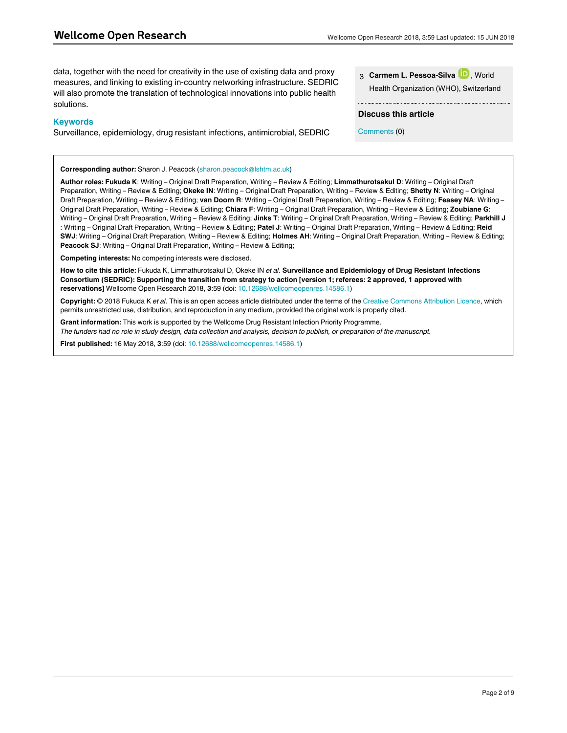data, together with the need for creativity in the use of existing data and proxy measures, and linking to existing in-country networking infrastructure. SEDRIC will also promote the translation of technological innovations into public health solutions.

### **Keywords**

Surveillance, epidemiology, drug resistant infections, antimicrobial, SEDRIC

**Corresponding author:** Sharon J. Peacock (sharon.peacock@lshtm.ac.uk)

**Author roles: Fukuda K**: Writing – Original Draft Preparation, Writing – Review & Editing; **Limmathurotsakul D**: Writing – Original Draft Preparation, Writing – Review & Editing; **Okeke IN**: Writing – Original Draft Preparation, Writing – Review & Editing; **Shetty N**: Writing – Original Draft Preparation, Writing – Review & Editing; **van Doorn R**: Writing – Original Draft Preparation, Writing – Review & Editing; **Feasey NA**: Writing – Original Draft Preparation, Writing – Review & Editing; **Chiara F**: Writing – Original Draft Preparation, Writing – Review & Editing; **Zoubiane G**: Writing – Original Draft Preparation, Writing – Review & Editing; **Jinks T**: Writing – Original Draft Preparation, Writing – Review & Editing; **Parkhill J** : Writing – Original Draft Preparation, Writing – Review & Editing; **Patel J**: Writing – Original Draft Preparation, Writing – Review & Editing; **Reid SWJ**: Writing – Original Draft Preparation, Writing – Review & Editing; **Holmes AH**: Writing – Original Draft Preparation, Writing – Review & Editing; **Peacock SJ**: Writing – Original Draft Preparation, Writing – Review & Editing;

**Competing interests:** No competing interests were disclosed.

**How to cite this article:** Fukuda K, Limmathurotsakul D, Okeke IN *et al.* **Surveillance and Epidemiology of Drug Resistant Infections Consortium (SEDRIC): Supporting the transition from strategy to action [version 1; referees: 2 approved, 1 approved with reservations]** Wellcome Open Research 2018, **3**:59 (doi: [10.12688/wellcomeopenres.14586.1](http://dx.doi.org/10.12688/wellcomeopenres.14586.1))

**Copyright:** © 2018 Fukuda K *et al*. This is an open access article distributed under the terms of the [Creative Commons Attribution Licence](http://creativecommons.org/licenses/by/4.0/), which permits unrestricted use, distribution, and reproduction in any medium, provided the original work is properly cited.

**Grant information:** This work is supported by the Wellcome Drug Resistant Infection Priority Programme. *The funders had no role in study design, data collection and analysis, decision to publish, or preparation of the manuscript.*

**First published:** 16 May 2018, **3**:59 (doi: [10.12688/wellcomeopenres.14586.1](http://dx.doi.org/10.12688/wellcomeopenres.14586.1))

| 3 Carmem L. Pessoa-Silva D., World     |  |
|----------------------------------------|--|
| Health Organization (WHO), Switzerland |  |

### **Discuss this article**

Comments (0)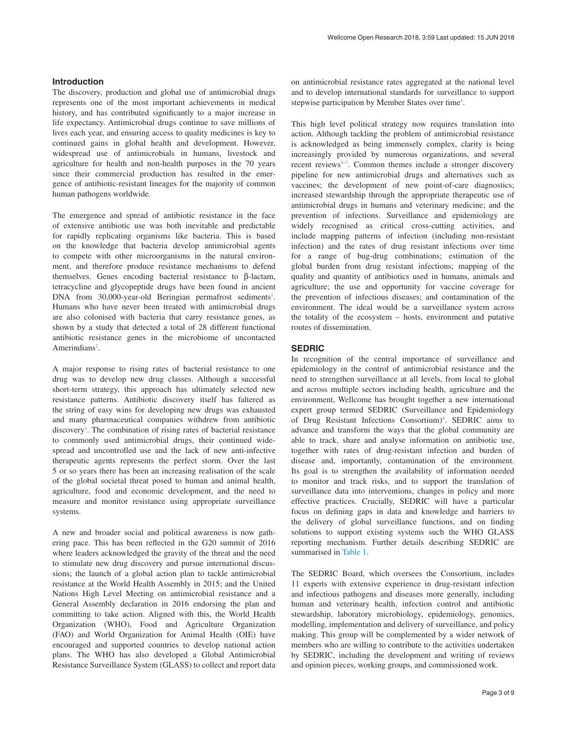### **Introduction**

The discovery, production and global use of antimicrobial drugs represents one of the most important achievements in medical history, and has contributed significantly to a major increase in life expectancy. Antimicrobial drugs continue to save millions of lives each year, and ensuring access to quality medicines is key to continued gains in global health and development. However, widespread use of antimicrobials in humans, livestock and agriculture for health and non-health purposes in the 70 years since their commercial production has resulted in the emergence of antibiotic-resistant lineages for the majority of common human pathogens worldwide.

The emergence and spread of antibiotic resistance in the face of extensive antibiotic use was both inevitable and predictable for rapidly replicating organisms like bacteria. This is based on the knowledge that bacteria develop antimicrobial agents to compete with other microorganisms in the natural environment, and therefore produce resistance mechanisms to defend themselves. Genes encoding bacterial resistance to β-lactam, tetracycline and glycopeptide drugs have been found in ancient DNA from 30,000-year-old Beringian permafrost sediments<sup>[1](#page-4-0)</sup>. Humans who have never been treated with antimicrobial drugs are also colonised with bacteria that carry resistance genes, as shown by a study that detected a total of 28 different functional antibiotic resistance genes in the microbiome of uncontacted Amerindians<sup>2</sup>.

A major response to rising rates of bacterial resistance to one drug was to develop new drug classes. Although a successful short-term strategy, this approach has ultimately selected new resistance patterns. Antibiotic discovery itself has faltered as the string of easy wins for developing new drugs was exhausted and many pharmaceutical companies withdrew from antibiotic discovery<sup>3</sup>. The combination of rising rates of bacterial resistance to commonly used antimicrobial drugs, their continued widespread and uncontrolled use and the lack of new anti-infective therapeutic agents represents the perfect storm. Over the last 5 or so years there has been an increasing realisation of the scale of the global societal threat posed to human and animal health, agriculture, food and economic development, and the need to measure and monitor resistance using appropriate surveillance systems.

A new and broader social and political awareness is now gathering pace. This has been reflected in the G20 summit of 2016 where leaders acknowledged the gravity of the threat and the need to stimulate new drug discovery and pursue international discussions; the launch of a global action plan to tackle antimicrobial resistance at the World Health Assembly in 2015; and the United Nations High Level Meeting on antimicrobial resistance and a General Assembly declaration in 2016 endorsing the plan and committing to take action. Aligned with this, the World Health Organization (WHO), Food and Agriculture Organization (FAO) and World Organization for Animal Health (OIE) have encouraged and supported countries to develop national action plans. The WHO has also developed a Global Antimicrobial Resistance Surveillance System (GLASS) to collect and report data

on antimicrobial resistance rates aggregated at the national level and to develop international standards for surveillance to support stepwise participation by Member States over time<sup>4</sup>.

This high level political strategy now requires translation into action. Although tackling the problem of antimicrobial resistance is acknowledged as being immensely complex, clarity is being increasingly provided by numerous organizations, and several recent reviews<sup>5-7</sup>. Common themes include a stronger discovery pipeline for new antimicrobial drugs and alternatives such as vaccines; the development of new point-of-care diagnostics; increased stewardship through the appropriate therapeutic use of antimicrobial drugs in humans and veterinary medicine; and the prevention of infections. Surveillance and epidemiology are widely recognised as critical cross-cutting activities, and include mapping patterns of infection (including non-resistant infection) and the rates of drug resistant infections over time for a range of bug-drug combinations; estimation of the global burden from drug resistant infections; mapping of the quality and quantity of antibiotics used in humans, animals and agriculture; the use and opportunity for vaccine coverage for the prevention of infectious diseases; and contamination of the environment. The ideal would be a surveillance system across the totality of the ecosystem – hosts, environment and putative routes of dissemination.

### **SEDRIC**

In recognition of the central importance of surveillance and epidemiology in the control of antimicrobial resistance and the need to strengthen surveillance at all levels, from local to global and across multiple sectors including health, agriculture and the environment, Wellcome has brought together a new international expert group termed SEDRIC (Surveillance and Epidemiology of Drug Resistant Infections Consortium)<sup>[8](#page-4-0)</sup>. SEDRIC aims to advance and transform the ways that the global community are able to track, share and analyse information on antibiotic use, together with rates of drug-resistant infection and burden of disease and, importantly, contamination of the environment. Its goal is to strengthen the availability of information needed to monitor and track risks, and to support the translation of surveillance data into interventions, changes in policy and more effective practices. Crucially, SEDRIC will have a particular focus on defining gaps in data and knowledge and barriers to the delivery of global surveillance functions, and on finding solutions to support existing systems such the WHO GLASS reporting mechanism. Further details describing SEDRIC are summarised in [Table 1.](#page-3-0)

The SEDRIC Board, which oversees the Consortium, includes 11 experts with extensive experience in drug-resistant infection and infectious pathogens and diseases more generally, including human and veterinary health, infection control and antibiotic stewardship, laboratory microbiology, epidemiology, genomics, modelling, implementation and delivery of surveillance, and policy making. This group will be complemented by a wider network of members who are willing to contribute to the activities undertaken by SEDRIC, including the development and writing of reviews and opinion pieces, working groups, and commissioned work.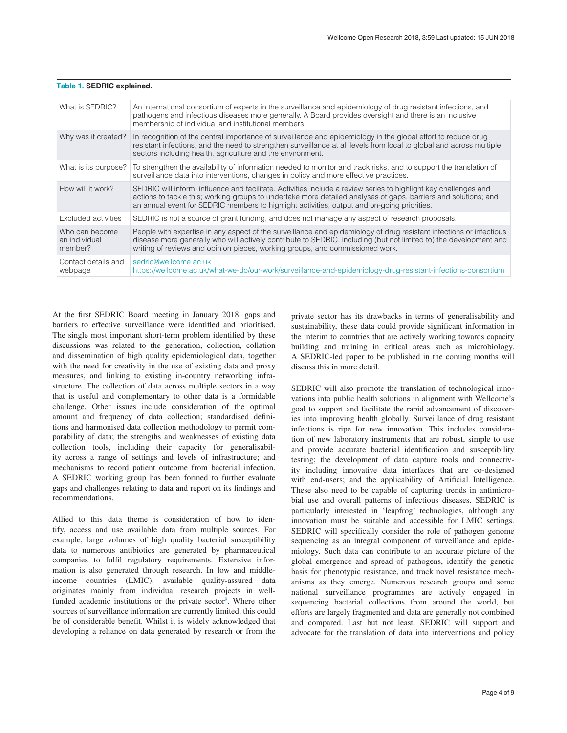| What is SEDRIC?                            | An international consortium of experts in the surveillance and epidemiology of drug resistant infections, and<br>pathogens and infectious diseases more generally. A Board provides oversight and there is an inclusive<br>membership of individual and institutional members.                                                     |
|--------------------------------------------|------------------------------------------------------------------------------------------------------------------------------------------------------------------------------------------------------------------------------------------------------------------------------------------------------------------------------------|
| Why was it created?                        | In recognition of the central importance of surveillance and epidemiology in the global effort to reduce drug<br>resistant infections, and the need to strengthen surveillance at all levels from local to global and across multiple<br>sectors including health, agriculture and the environment.                                |
| What is its purpose?                       | To strengthen the availability of information needed to monitor and track risks, and to support the translation of<br>surveillance data into interventions, changes in policy and more effective practices.                                                                                                                        |
| How will it work?                          | SEDRIC will inform, influence and facilitate. Activities include a review series to highlight key challenges and<br>actions to tackle this; working groups to undertake more detailed analyses of gaps, barriers and solutions; and<br>an annual event for SEDRIC members to highlight activities, output and on-going priorities. |
| Excluded activities                        | SEDRIC is not a source of grant funding, and does not manage any aspect of research proposals.                                                                                                                                                                                                                                     |
| Who can become<br>an individual<br>member? | People with expertise in any aspect of the surveillance and epidemiology of drug resistant infections or infectious<br>disease more generally who will actively contribute to SEDRIC, including (but not limited to) the development and<br>writing of reviews and opinion pieces, working groups, and commissioned work.          |
| Contact details and<br>webpage             | sedric@wellcome.ac.uk<br>https://wellcome.ac.uk/what-we-do/our-work/surveillance-and-epidemiology-drug-resistant-infections-consortium                                                                                                                                                                                             |

### <span id="page-3-0"></span>**Table 1. SEDRIC explained.**

At the first SEDRIC Board meeting in January 2018, gaps and barriers to effective surveillance were identified and prioritised. The single most important short-term problem identified by these discussions was related to the generation, collection, collation and dissemination of high quality epidemiological data, together with the need for creativity in the use of existing data and proxy measures, and linking to existing in-country networking infrastructure. The collection of data across multiple sectors in a way that is useful and complementary to other data is a formidable challenge. Other issues include consideration of the optimal amount and frequency of data collection; standardised definitions and harmonised data collection methodology to permit comparability of data; the strengths and weaknesses of existing data collection tools, including their capacity for generalisability across a range of settings and levels of infrastructure; and mechanisms to record patient outcome from bacterial infection. A SEDRIC working group has been formed to further evaluate gaps and challenges relating to data and report on its findings and recommendations.

Allied to this data theme is consideration of how to identify, access and use available data from multiple sources. For example, large volumes of high quality bacterial susceptibility data to numerous antibiotics are generated by pharmaceutical companies to fulfil regulatory requirements. Extensive information is also generated through research. In low and middleincome countries (LMIC), available quality-assured data originates mainly from individual research projects in well-funded academic institutions or the private sector<sup>[9](#page-4-0)</sup>. Where other sources of surveillance information are currently limited, this could be of considerable benefit. Whilst it is widely acknowledged that developing a reliance on data generated by research or from the

private sector has its drawbacks in terms of generalisability and sustainability, these data could provide significant information in the interim to countries that are actively working towards capacity building and training in critical areas such as microbiology. A SEDRIC-led paper to be published in the coming months will discuss this in more detail.

SEDRIC will also promote the translation of technological innovations into public health solutions in alignment with Wellcome's goal to support and facilitate the rapid advancement of discoveries into improving health globally. Surveillance of drug resistant infections is ripe for new innovation. This includes consideration of new laboratory instruments that are robust, simple to use and provide accurate bacterial identification and susceptibility testing; the development of data capture tools and connectivity including innovative data interfaces that are co-designed with end-users; and the applicability of Artificial Intelligence. These also need to be capable of capturing trends in antimicrobial use and overall patterns of infectious diseases. SEDRIC is particularly interested in 'leapfrog' technologies, although any innovation must be suitable and accessible for LMIC settings. SEDRIC will specifically consider the role of pathogen genome sequencing as an integral component of surveillance and epidemiology. Such data can contribute to an accurate picture of the global emergence and spread of pathogens, identify the genetic basis for phenotypic resistance, and track novel resistance mechanisms as they emerge. Numerous research groups and some national surveillance programmes are actively engaged in sequencing bacterial collections from around the world, but efforts are largely fragmented and data are generally not combined and compared. Last but not least, SEDRIC will support and advocate for the translation of data into interventions and policy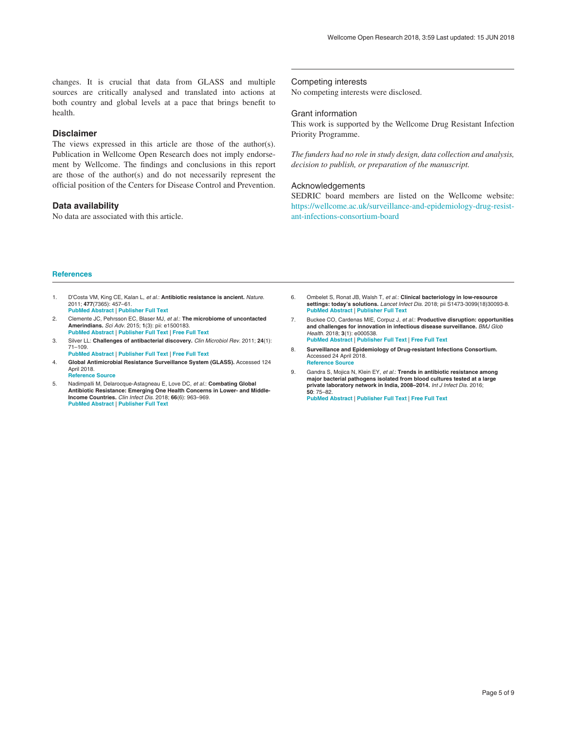<span id="page-4-0"></span>changes. It is crucial that data from GLASS and multiple sources are critically analysed and translated into actions at both country and global levels at a pace that brings benefit to health.

### **Disclaimer**

The views expressed in this article are those of the author(s). Publication in Wellcome Open Research does not imply endorsement by Wellcome. The findings and conclusions in this report are those of the author(s) and do not necessarily represent the official position of the Centers for Disease Control and Prevention.

### **Data availability**

No data are associated with this article.

Competing interests

No competing interests were disclosed.

#### Grant information

This work is supported by the Wellcome Drug Resistant Infection Priority Programme.

*The funders had no role in study design, data collection and analysis, decision to publish, or preparation of the manuscript.*

### Acknowledgements

SEDRIC board members are listed on the Wellcome website: [https://wellcome.ac.uk/surveillance-and-epidemiology-drug-resist](https://wellcome.ac.uk/surveillance-and-epidemiology-drug-resistant-infections-consortium-board)[ant-infections-consortium-board](https://wellcome.ac.uk/surveillance-and-epidemiology-drug-resistant-infections-consortium-board)

### **References**

- 1. D'Costa VM, King CE, Kalan L, et al.: **Antibiotic resistance is ancient.** Nature. 2011; **477**(7365): 457–61. **[PubMed Abstract](http://www.ncbi.nlm.nih.gov/pubmed/21881561)** | **[Publisher Full Text](http://dx.doi.org/10.1038/nature10388)**
- 2. Clemente JC, Pehrsson EC, Blaser MJ, et al.: **The microbiome of uncontacted Amerindians.** Sci Adv. 2015; **1**(3): pii: e1500183. **[PubMed Abstract](http://www.ncbi.nlm.nih.gov/pubmed/26229982)** | **[Publisher Full Text](http://dx.doi.org/10.1126/sciadv.1500183)** | **[Free Full Text](http://www.ncbi.nlm.nih.gov/pmc/articles/4517851)**
- 3. Silver LL: **Challenges of antibacterial discovery.** Clin Microbiol Rev. 2011; **24**(1): 71–109.
- **[PubMed Abstract](http://www.ncbi.nlm.nih.gov/pubmed/21233508)** | **[Publisher Full Text](http://dx.doi.org/10.1128/CMR.00030-10)** | **[Free Full Text](http://www.ncbi.nlm.nih.gov/pmc/articles/3021209)**
- 4. **Global Antimicrobial Resistance Surveillance System (GLASS).** Accessed 124 April 2018. **[Reference Source](http://www.who.int/glass/en/)**
- 5. Nadimpalli M, Delarocque-Astagneau E, Love DC, et al.: **Combating Global Antibiotic Resistance: Emerging One Health Concerns in Lower- and Middle-Income Countries.** Clin Infect Dis. 2018; **66**(6): 963–969. **[PubMed Abstract](http://www.ncbi.nlm.nih.gov/pubmed/29346620)** | **[Publisher Full Text](http://dx.doi.org/10.1093/cid/cix879)**
- 6. Ombelet S, Ronat JB, Walsh T, et al.: **Clinical bacteriology in low-resource settings: today's solutions.** Lancet Infect Dis. 2018; pii S1473-3099(18)30093-8. **[PubMed Abstract](http://www.ncbi.nlm.nih.gov/pubmed/29519767)** | **[Publisher Full Text](http://dx.doi.org/10.1016/S1473-3099(18)30093-8)**
- 7. Buckee CO, Cardenas MIE, Corpuz J, et al.: **Productive disruption: opportunities and challenges for innovation in infectious disease surveillance.** BMJ Glob Health. 2018; **3**(1): e000538. **[PubMed Abstract](http://www.ncbi.nlm.nih.gov/pubmed/29527343)** | **[Publisher Full Text](http://dx.doi.org/10.1136/bmjgh-2017-000538)** | **[Free Full Text](http://www.ncbi.nlm.nih.gov/pmc/articles/5841510)**
- 8. **Surveillance and Epidemiology of Drug-resistant Infections Consortium.** Accessed 24 April 2018. **[Reference Source](https://wellcome.ac.uk/what-we-do/our-work/surveillance-and-epidemiology-drug-resistant-infections-consortium)**
- 9. Gandra S, Mojica N, Klein EY, et al.: **Trends in antibiotic resistance among major bacterial pathogens isolated from blood cultures tested at a large private laboratory network in India, 2008–2014.** Int J Infect Dis. 2016; **50**: 75–82.

**[PubMed Abstract](http://www.ncbi.nlm.nih.gov/pubmed/27522002)** | **[Publisher Full Text](http://dx.doi.org/10.1016/j.ijid.2016.08.002)** | **[Free Full Text](http://www.ncbi.nlm.nih.gov/pmc/articles/5063511)**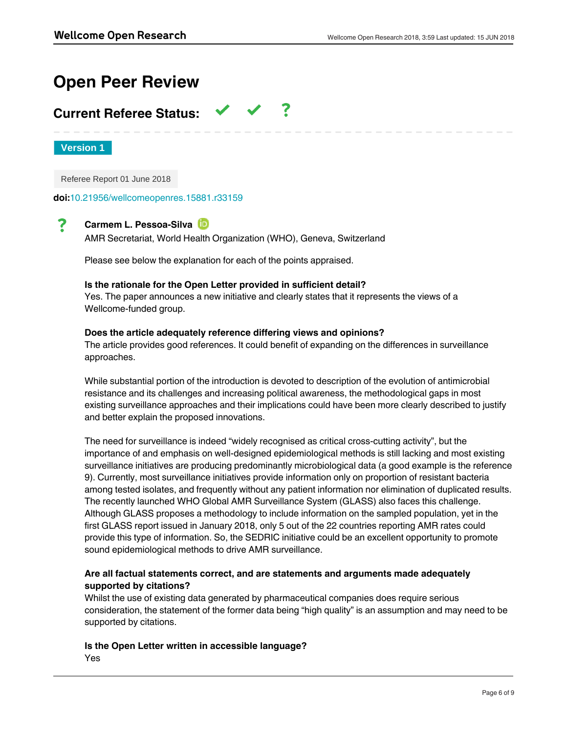# **Open Peer Review**

## **Current Referee Status:**

**Version 1**

Referee Report 01 June 2018

**doi:**[10.21956/wellcomeopenres.15881.r33159](http://dx.doi.org/10.21956/wellcomeopenres.15881.r33159)

#### ? **Carmem L. Pessoa-Silva**

AMR Secretariat, World Health Organization (WHO), Geneva, Switzerland

Please see below the explanation for each of the points appraised.

## **Is the rationale for the Open Letter provided in sufficient detail?**

Yes. The paper announces a new initiative and clearly states that it represents the views of a Wellcome-funded group.

## **Does the article adequately reference differing views and opinions?**

The article provides good references. It could benefit of expanding on the differences in surveillance approaches.

While substantial portion of the introduction is devoted to description of the evolution of antimicrobial resistance and its challenges and increasing political awareness, the methodological gaps in most existing surveillance approaches and their implications could have been more clearly described to justify and better explain the proposed innovations.

The need for surveillance is indeed "widely recognised as critical cross-cutting activity", but the importance of and emphasis on well-designed epidemiological methods is still lacking and most existing surveillance initiatives are producing predominantly microbiological data (a good example is the reference 9). Currently, most surveillance initiatives provide information only on proportion of resistant bacteria among tested isolates, and frequently without any patient information nor elimination of duplicated results. The recently launched WHO Global AMR Surveillance System (GLASS) also faces this challenge. Although GLASS proposes a methodology to include information on the sampled population, yet in the first GLASS report issued in January 2018, only 5 out of the 22 countries reporting AMR rates could provide this type of information. So, the SEDRIC initiative could be an excellent opportunity to promote sound epidemiological methods to drive AMR surveillance.

## **Are all factual statements correct, and are statements and arguments made adequately supported by citations?**

Whilst the use of existing data generated by pharmaceutical companies does require serious consideration, the statement of the former data being "high quality" is an assumption and may need to be supported by citations.

**Is the Open Letter written in accessible language?** Yes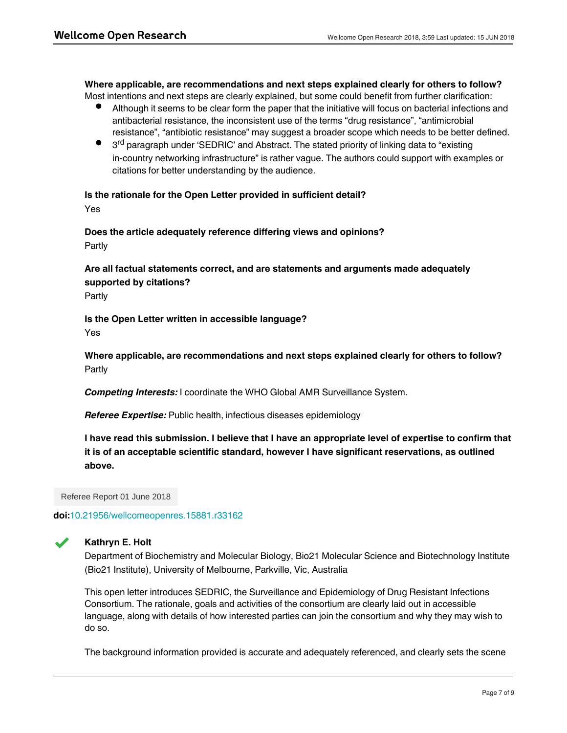## **Where applicable, are recommendations and next steps explained clearly for others to follow?**

Most intentions and next steps are clearly explained, but some could benefit from further clarification:

- Although it seems to be clear form the paper that the initiative will focus on bacterial infections and antibacterial resistance, the inconsistent use of the terms "drug resistance", "antimicrobial resistance", "antibiotic resistance" may suggest a broader scope which needs to be better defined.
- 3<sup>rd</sup> paragraph under 'SEDRIC' and Abstract. The stated priority of linking data to "existing in-country networking infrastructure" is rather vague. The authors could support with examples or citations for better understanding by the audience.

### **Is the rationale for the Open Letter provided in sufficient detail?**

Yes

**Does the article adequately reference differing views and opinions?** Partly

## **Are all factual statements correct, and are statements and arguments made adequately supported by citations?**

Partly

## **Is the Open Letter written in accessible language?** Yes

**Where applicable, are recommendations and next steps explained clearly for others to follow?** Partly

*Competing Interests:* I coordinate the WHO Global AMR Surveillance System.

*Referee Expertise:* Public health, infectious diseases epidemiology

**I have read this submission. I believe that I have an appropriate level of expertise to confirm that it is of an acceptable scientific standard, however I have significant reservations, as outlined above.**

Referee Report 01 June 2018

**doi:**[10.21956/wellcomeopenres.15881.r33162](http://dx.doi.org/10.21956/wellcomeopenres.15881.r33162)



## **Kathryn E. Holt**

Department of Biochemistry and Molecular Biology, Bio21 Molecular Science and Biotechnology Institute (Bio21 Institute), University of Melbourne, Parkville, Vic, Australia

This open letter introduces SEDRIC, the Surveillance and Epidemiology of Drug Resistant Infections Consortium. The rationale, goals and activities of the consortium are clearly laid out in accessible language, along with details of how interested parties can join the consortium and why they may wish to do so.

The background information provided is accurate and adequately referenced, and clearly sets the scene

for the creation of the consortium. The letter clearly articulates how the consortium plans to interact with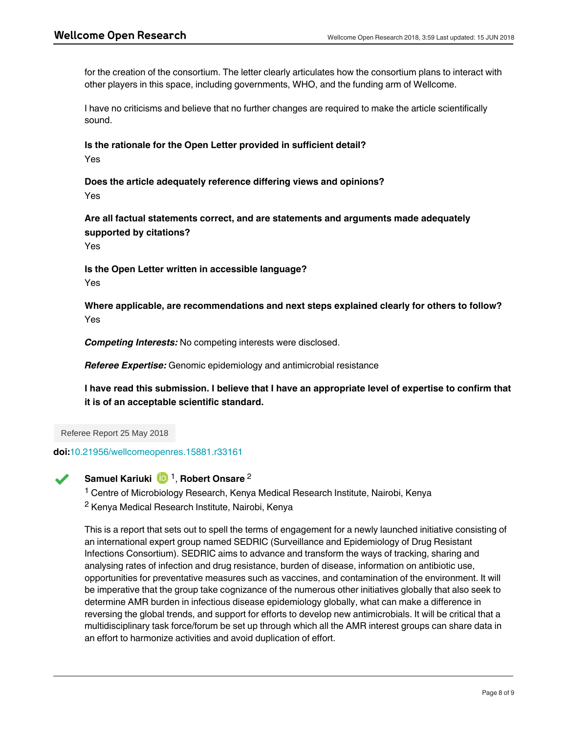for the creation of the consortium. The letter clearly articulates how the consortium plans to interact with other players in this space, including governments, WHO, and the funding arm of Wellcome.

I have no criticisms and believe that no further changes are required to make the article scientifically sound.

## **Is the rationale for the Open Letter provided in sufficient detail?** Yes

**Does the article adequately reference differing views and opinions?** Yes

**Are all factual statements correct, and are statements and arguments made adequately supported by citations?**

Yes

**Is the Open Letter written in accessible language?** Yes

**Where applicable, are recommendations and next steps explained clearly for others to follow?** Yes

*Competing Interests:* No competing interests were disclosed.

*Referee Expertise:* Genomic epidemiology and antimicrobial resistance

**Is the rationale for the Open Letter provided in sufficient detail?**

**I have read this submission. I believe that I have an appropriate level of expertise to confirm that it is of an acceptable scientific standard.**

Referee Report 25 May 2018

**doi:**[10.21956/wellcomeopenres.15881.r33161](http://dx.doi.org/10.21956/wellcomeopenres.15881.r33161)



## **Samuel Kariuki** D<sup>1</sup>, Robert Onsare<sup>2</sup>

<sup>1</sup> Centre of Microbiology Research, Kenya Medical Research Institute, Nairobi, Kenya <sup>2</sup> Kenya Medical Research Institute, Nairobi, Kenya

This is a report that sets out to spell the terms of engagement for a newly launched initiative consisting of an international expert group named SEDRIC (Surveillance and Epidemiology of Drug Resistant Infections Consortium). SEDRIC aims to advance and transform the ways of tracking, sharing and analysing rates of infection and drug resistance, burden of disease, information on antibiotic use, opportunities for preventative measures such as vaccines, and contamination of the environment. It will be imperative that the group take cognizance of the numerous other initiatives globally that also seek to determine AMR burden in infectious disease epidemiology globally, what can make a difference in reversing the global trends, and support for efforts to develop new antimicrobials. It will be critical that a multidisciplinary task force/forum be set up through which all the AMR interest groups can share data in an effort to harmonize activities and avoid duplication of effort.